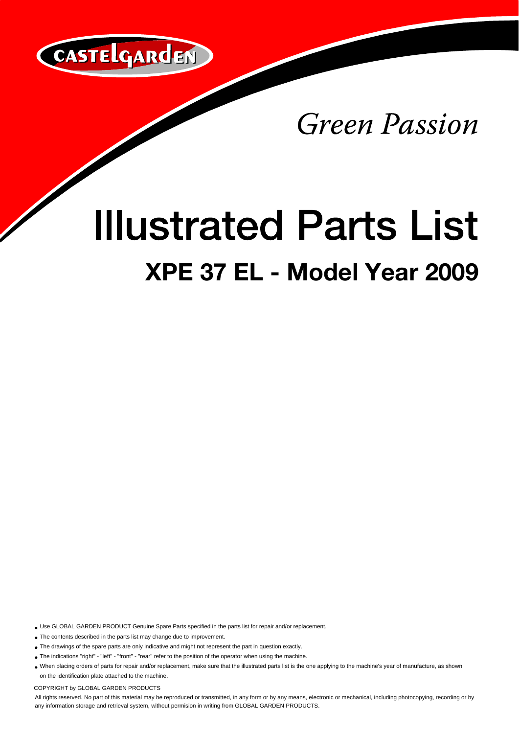

Green Passion

## **Illustrated Parts List XPE 37 EL - Model Year 2009**

Use GLOBAL GARDEN PRODUCT Genuine Spare Parts specified in the parts list for repair and/or replacement.

The contents described in the parts list may change due to improvement.

- The drawings of the spare parts are only indicative and might not represent the part in question exactly.
- The indications "right" "left" "front" "rear" refer to the position of the operator when using the machine.

When placing orders of parts for repair and/or replacement, make sure that the illustrated parts list is the one applying to the machine's year of manufacture, as shown on the identification plate attached to the machine.

COPYRIGHT by GLOBAL GARDEN PRODUCTS

All rights reserved. No part of this material may be reproduced or transmitted, in any form or by any means, electronic or mechanical, including photocopying, recording or by any information storage and retrieval system, without permision in writing from GLOBAL GARDEN PRODUCTS.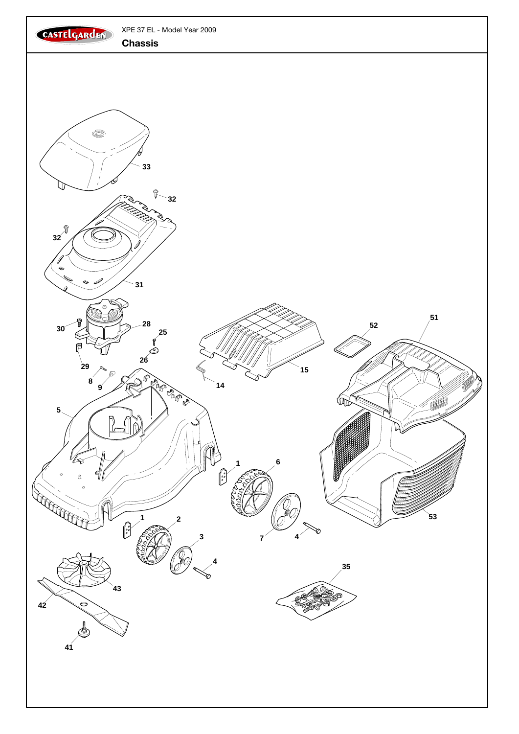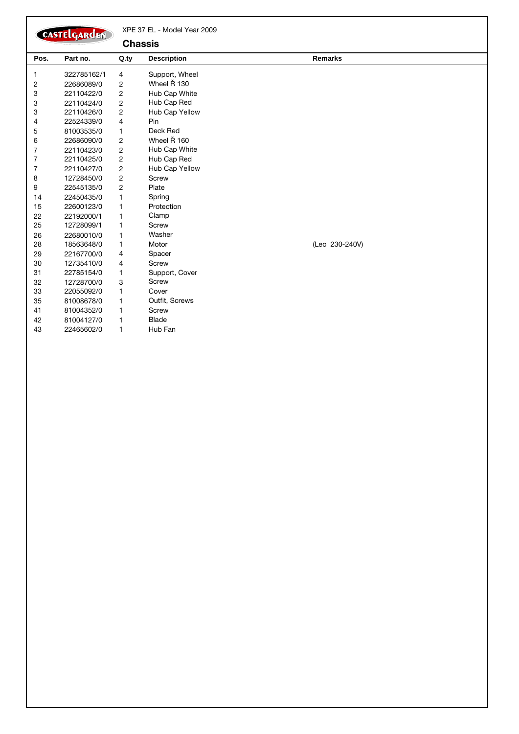|                | CASTELGARDEN |                | XPE 37 EL - Model Year 2009 |                |
|----------------|--------------|----------------|-----------------------------|----------------|
|                |              |                | <b>Chassis</b>              |                |
| Pos.           | Part no.     | Q.ty           | <b>Description</b>          | <b>Remarks</b> |
| 1              | 322785162/1  | 4              | Support, Wheel              |                |
| 2              | 22686089/0   | $\overline{c}$ | Wheel Ř 130                 |                |
| 3              | 22110422/0   | $\overline{2}$ | Hub Cap White               |                |
| 3              | 22110424/0   | $\overline{c}$ | Hub Cap Red                 |                |
| 3              | 22110426/0   | 2              | Hub Cap Yellow              |                |
| 4              | 22524339/0   | $\overline{4}$ | Pin                         |                |
| 5              | 81003535/0   | 1              | Deck Red                    |                |
| 6              | 22686090/0   | $\overline{c}$ | Wheel Ř 160                 |                |
| 7              | 22110423/0   | $\overline{c}$ | Hub Cap White               |                |
| 7              | 22110425/0   | 2              | Hub Cap Red                 |                |
| $\overline{7}$ | 22110427/0   | 2              | Hub Cap Yellow              |                |
| 8              | 12728450/0   | 2              | Screw                       |                |
| 9              | 22545135/0   | $\overline{c}$ | Plate                       |                |
| 14             | 22450435/0   | 1              | Spring                      |                |
| 15             | 22600123/0   | $\mathbf{1}$   | Protection                  |                |
| 22             | 22192000/1   | 1              | Clamp                       |                |
| 25             | 12728099/1   | 1              | Screw                       |                |
| 26             | 22680010/0   | 1              | Washer                      |                |
| 28             | 18563648/0   | 1              | Motor                       | (Leo 230-240V) |
| 29             | 22167700/0   | 4              | Spacer                      |                |
| 30             | 12735410/0   | $\overline{4}$ | Screw                       |                |
| 31             | 22785154/0   | 1              | Support, Cover              |                |
| 32             | 12728700/0   | 3              | Screw                       |                |
| 33             | 22055092/0   | 1              | Cover                       |                |
| 35             | 81008678/0   | 1              | Outfit, Screws              |                |
| 41             | 81004352/0   | 1              | Screw                       |                |
| 42             | 81004127/0   | 1              | <b>Blade</b>                |                |
| 43             | 22465602/0   | 1              | Hub Fan                     |                |